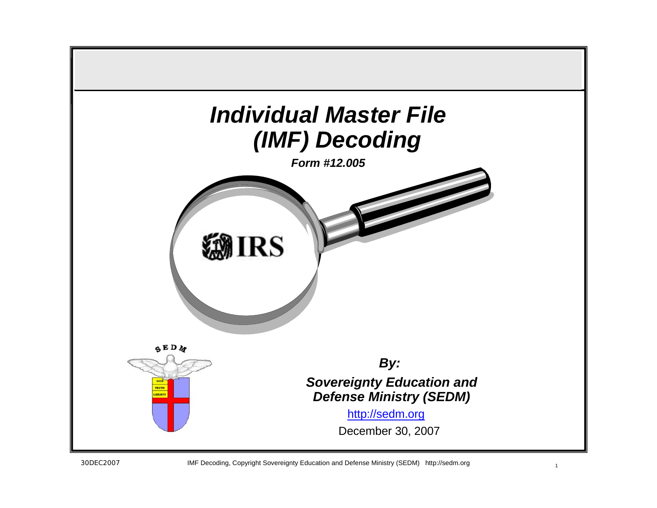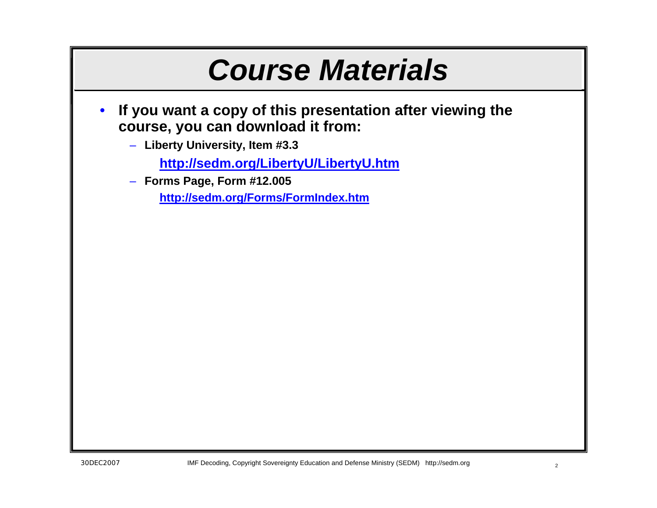## *Course Materials*

- **If you want a copy of this presentation after viewing the course, you can download it from:**
	- **Liberty University, Item #3.3**
		- **<http://sedm.org/LibertyU/LibertyU.htm>**
	- **Forms Page, Form #12.005**

**<http://sedm.org/Forms/FormIndex.htm>**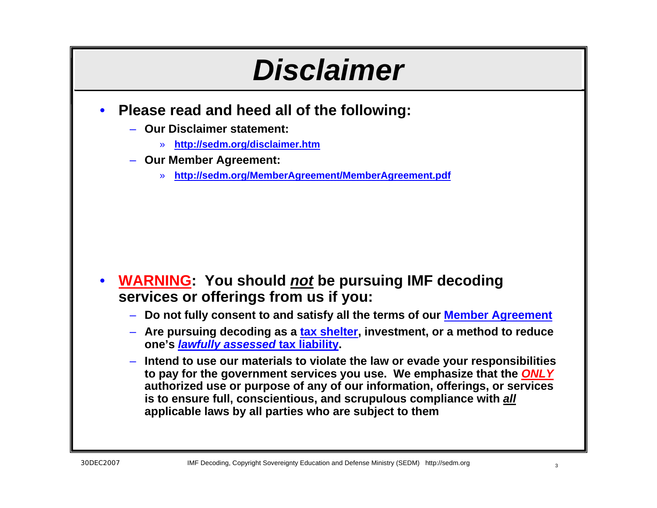## *Disclaimer*

- **Please read and heed all of the following:**
	- **Our Disclaimer statement:**
		- » **<http://sedm.org/disclaimer.htm>**
	- **Our Member Agreement:**
		- » **<http://sedm.org/MemberAgreement/MemberAgreement.pdf>**

- **WARNING: You should** *not* **be pursuing IMF decoding services or offerings from us if you:**
	- **Do not fully consent to and satisfy all the terms of our [Member Agreement](http://sedm.org/MemberAgreement/MemberAgreement.pdf)**
	- **Are pursuing decoding as a [tax shelter](http://famguardian.org/TaxFreedom/CitesByTopic/TaxShelter.htm), investment, or a method to reduce one's** *[lawfully assessed](http://famguardian.org/TaxFreedom/CitesByTopic/assessment.htm)* **tax liability.**
	- **Intend to use our materials to violate the law or evade your responsibilities to pay for the government services you use. We emphasize that the** *ONLY*  **authorized use or purpose of any of our information, offerings, or services is to ensure full, conscientious, and scrupulous compliance with** *all*  **applicable laws by all parties who are subject to them**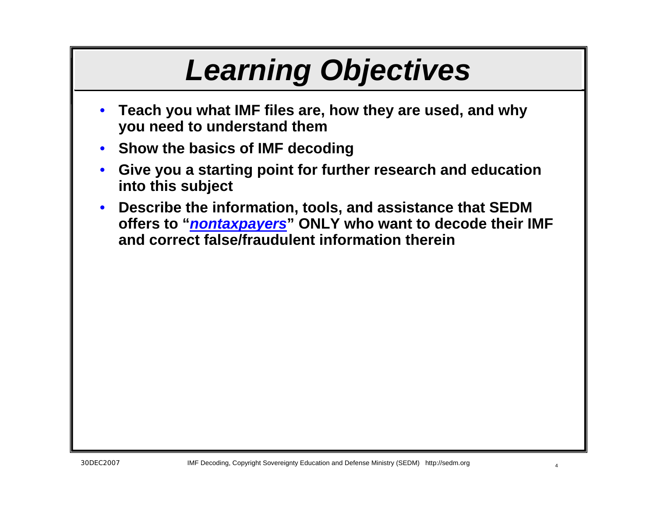# *Learning Objectives*

- **Teach you what IMF files are, how they are used, and why you need to understand them**
- **Show the basics of IMF decoding**
- **Give you a starting point for further research and education into this subject**
- **Describe the information, tools, and assistance that SEDM offers to "***[nontaxpayers](http://sedm.org/Forms/MemLaw/WhoAreTaxpayers.pdf)***" ONLY who want to decode their IMF and correct false/fraudulent information therein**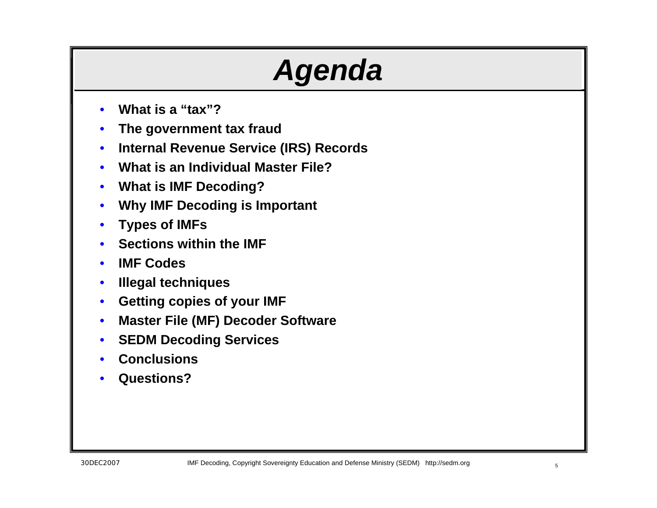# *Agenda*

- **What is a "tax"?**
- **The government tax fraud**
- **Internal Revenue Service (IRS) Records**
- **What is an Individual Master File?**
- **What is IMF Decoding?**
- **Why IMF Decoding is Important**
- **Types of IMFs**
- **Sections within the IMF**
- **IMF Codes**
- **Illegal techniques**
- **Getting copies of your IMF**
- **Master File (MF) Decoder Software**
- **SEDM Decoding Services**
- **Conclusions**
- **Questions?**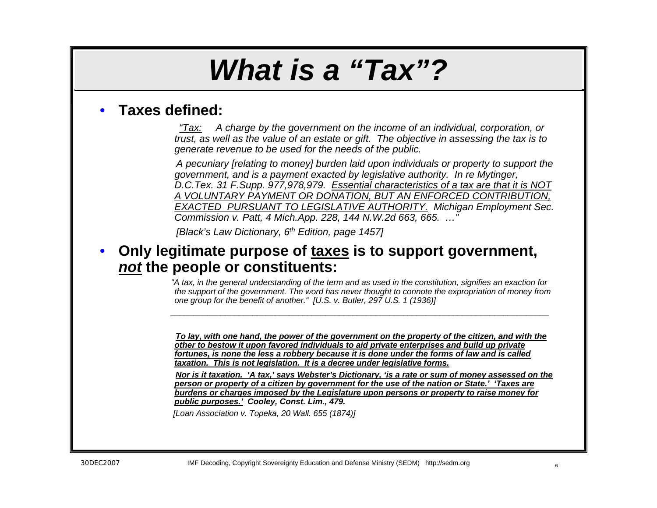## *What is a "Tax"?*

### • **Taxes defined:**

*"Tax: A charge by the government on the income of an individual, corporation, or trust, as well as the value of an estate or gift. The objective in assessing the tax is to generate revenue to be used for the needs of the public.*

*A pecuniary [relating to money] burden laid upon individuals or property to support the government, and is a payment exacted by legislative authority. In re Mytinger, D.C.Tex. 31 F.Supp. 977,978,979. Essential characteristics of a tax are that it is NOT A VOLUNTARY PAYMENT OR DONATION, BUT AN ENFORCED CONTRIBUTION, EXACTED PURSUANT TO LEGISLATIVE AUTHORITY. Michigan Employment Sec. Commission v. Patt, 4 Mich.App. 228, 144 N.W.2d 663, 665. …"*

*[Black's Law Dictionary, 6th Edition, page 1457]*

### • **Only legitimate purpose of taxes is to support government,**  *not* **the people or constituents:**

*"A tax, in the general understanding of the term and as used in the constitution, signifies an exaction for the support of the government. The word has never thought to connote the expropriation of money from one group for the benefit of another." [U.S. v. Butler, 297 U.S. 1 (1936)]*

*To lay, with one hand, the power of the government on the property of the citizen, and with the other to bestow it upon favored individuals to aid private enterprises and build up private fortunes, is none the less a robbery because it is done under the forms of law and is called taxation. This is not legislation. It is a decree under legislative forms.*

*Nor is it taxation. 'A tax,' says Webster's Dictionary, 'is a rate or sum of money assessed on the person or property of a citizen by government for the use of the nation or State.' 'Taxes are burdens or charges imposed by the Legislature upon persons or property to raise money for public purposes.' Cooley, Const. Lim., 479.*

*[Loan Association v. Topeka, 20 Wall. 655 (1874)]*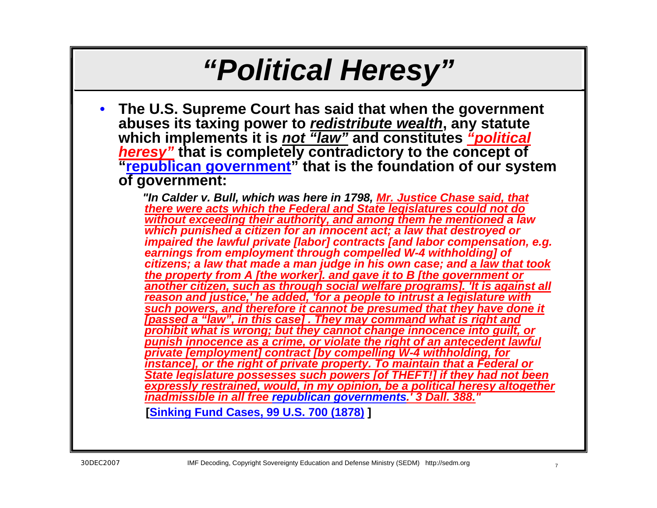## *"Political Heresy"*

• **The U.S. Supreme Court has said that when the government abuses its taxing power to** *redistribute wealth***, any statute which implements it is** *not "law"* **and constitutes** *"political heresy"* **that is completely contradictory to the concept of "[republican government](http://famguardian.org/TaxFreedom/CitesByTopic/RepublicanFormOfGovernment.htm)" that is the foundation of our system of government:**

*"In Calder v. Bull, which was here in 1798, Mr. Justice Chase said, that there were acts which the Federal and State legislatures could not do without exceeding their authority, and among them he mentioned a law which punished a citizen for an innocent act; a law that destroyed or impaired the lawful private [labor] contracts [and labor compensation, e.g. earnings from employment through compelled W-4 withholding] of citizens; a law that made a man judge in his own case; and a law that took the property from A [the worker]. and gave it to B [the government or another citizen, such as through social welfare programs]. 'It is against all reason and justice,' he added, 'for a people to intrust a legislature with such powers, and therefore it cannot be presumed that they have done it [passed a "law", in this case] . They may command what is right and prohibit what is wrong; but they cannot change innocence into guilt, or punish innocence as a crime, or violate the right of an antecedent lawful private [employment] contract [by compelling W-4 withholding, for instance], or the right of private property. To maintain that a Federal or State legislature possesses such powers [of THEFT!] if they had not been expressly restrained, would, in my opinion, be a political heresy altogether inadmissible in all free [republican governments.' 3 Dall. 388.](http://famguardian.org/TaxFreedom/CitesByTopic/RepublicanFormOfGovernment.htm) "*

**[\[Sinking Fund Cases, 99 U.S. 700 \(1878\)](http://caselaw.lp.findlaw.com/cgi-bin/getcase.pl?court=us&vol=99&invol=700) ]**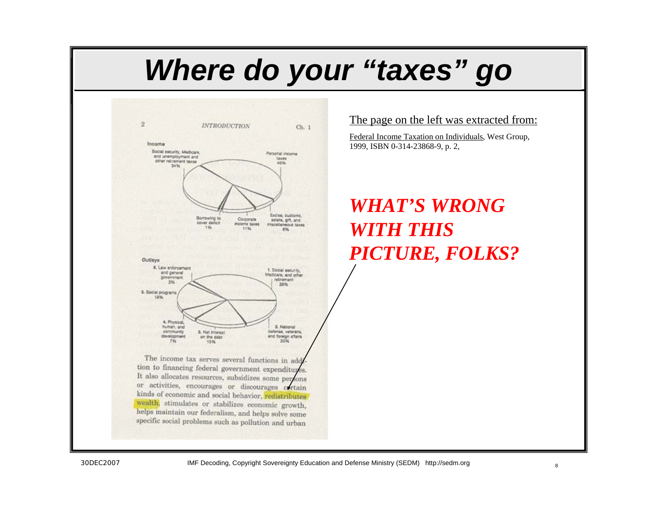## *Where do your "taxes" go*



The income tax serves several functions in add tion to financing federal government expenditures. It also allocates resources, subsidizes some persons or activities, encourages or discourages certain kinds of economic and social behavior, redistributes wealth, stimulates or stabilizes economic growth, helps maintain our federalism, and helps solve some specific social problems such as pollution and urban

The page on the left was extracted from:

Federal Income Taxation on Individuals, West Group, 1999, ISBN 0-314-23868-9, p. 2,

### *WHAT'S WRONG WITH THIS PICTURE, FOLKS?*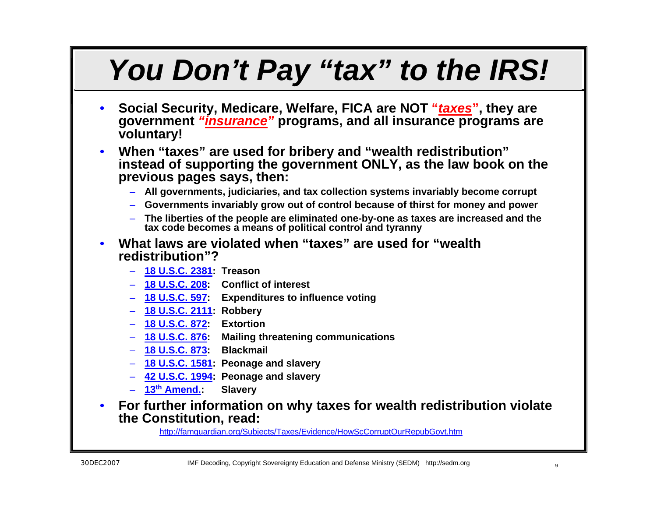# *You Don't Pay "tax" to the IRS!*

- **Social Security, Medicare, Welfare, FICA are NOT "***taxes***", they are government** *"insurance"* **programs, and all insurance programs are voluntary!**
- **When "taxes" are used for bribery and "wealth redistribution" instead of supporting the government ONLY, as the law book on the previous pages says, then:**
	- **All governments, judiciaries, and tax collection systems invariably become corrupt**
	- **Governments invariably grow out of control because of thirst for money and power**
	- **The liberties of the people are eliminated one-by-one as taxes are increased and the tax code becomes a means of political control and tyranny**
- **What laws are violated when "taxes" are used for "wealth redistribution"?**
	- **[18 U.S.C. 2381](http://www4.law.cornell.edu/uscode/18/2381.html): Treason**
	- **[18 U.S.C. 208](http://www4.law.cornell.edu/uscode/18/208.html): Conflict of interest**
	- **[18 U.S.C. 597](http://www4.law.cornell.edu/uscode/18/597.html): Expenditures to influence voting**
	- **[18 U.S.C. 2111](http://www4.law.cornell.edu/uscode/18/2111.html): Robbery**
	- **[18 U.S.C. 872](http://www4.law.cornell.edu/uscode/18/872.html): Extortion**
	- **[18 U.S.C. 876](http://www4.law.cornell.edu/uscode/18/876.html): Mailing threatening communications**
	- **[18 U.S.C. 873](http://www4.law.cornell.edu/uscode/18/873.html): Blackmail**
	- **[18 U.S.C. 1581](http://www4.law.cornell.edu/uscode/18/1581.html): Peonage and slavery**
	- **[42 U.S.C. 1994](http://www4.law.cornell.edu/uscode/42/1994.html): Peonage and slavery**
	- **[13](http://caselaw.lp.findlaw.com/data/constitution/amendment13/)[th Amend.](http://caselaw.lp.findlaw.com/data/constitution/amendment13/): Slavery**
- **For further information on why taxes for wealth redistribution violate the Constitution, read:**

<http://famguardian.org/Subjects/Taxes/Evidence/HowScCorruptOurRepubGovt.htm>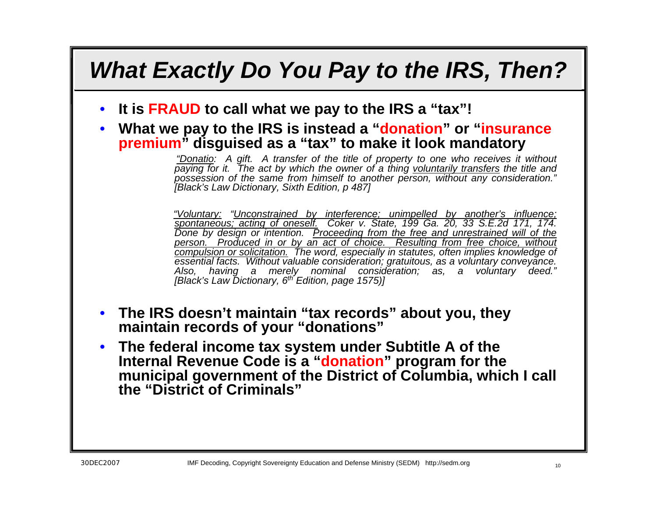### *What Exactly Do You Pay to the IRS, Then?*

- **It is FRAUD to call what we pay to the IRS a "tax"!**
- **What we pay to the IRS is instead a "donation" or "insurance premium" disguised as a "tax" to make it look mandatory**

*"Donatio: A gift. A transfer of the title of property to one who receives it without paying for it. The act by which the owner of a thing voluntarily transfers the title and possession of the same from himself to another person, without any consideration." [Black's Law Dictionary, Sixth Edition, p 487]*

*"Voluntary: "Unconstrained by interference; unimpelled by another's influence; spontaneous; acting of oneself. Coker v. State, 199 Ga. 20, 33 S.E.2d 171, 174.*  Done by design or intention. Proceeding from the free and unrestrained will of the *person. Produced in or by an act of choice. Resulting from free choice, without compulsion or solicitation. The word, especially in statutes, often implies knowledge of essential facts. Without valuable consideration; gratuitous, as a voluntary conveyance. Also, having a merely nominal consideration; as, a voluntary deed." [Black's Law Dictionary, 6th Edition, page 1575)]*

- **The IRS doesn't maintain "tax records" about you, they maintain records of your "donations"**
- **The federal income tax system under Subtitle A of the Internal Revenue Code is a "donation" program for the municipal government of the District of Columbia, which I call the "District of Criminals"**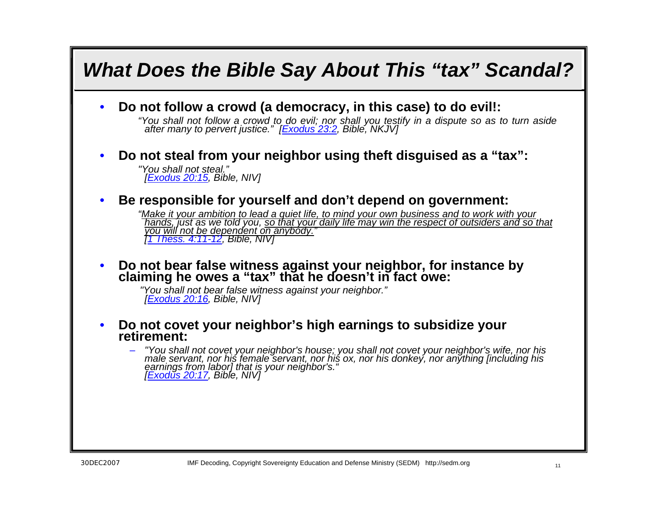## *What Does the Bible Say About This "tax" Scandal?* • **Do not follow a crowd (a democracy, in this case) to do evil!:** *"You shall not follow a crowd t[o do evil; nor](http://www.biblegateway.com/passage/?search=Exodus%2023:2;&version=50;) shall you testify in a dispute so as to turn aside after many to pervert justice." [\[Exodus 23:2](http://www.biblegateway.com/passage/?search=Exodus%2023:2;&version=50;), Bible, NKJV]* • **Do not steal from your neighbor using theft disguised as a "tax":** *"You shall not steal." [\[Exodus 20:15](http://www.biblegateway.com/passage/?search=Exodus%2020:15&version=50), Bible, NIV]*  • **Be responsible for yourself and don't depend on government:** "Make it your ambition to lead a quiet life, to mind your own business and to work with your<br>Thands, just as we told you, <u>so that your daily life may win the respect of outsiders and so that</u><br>You will not be dependent on • **Do not bear false witness against your neighbor, for instance by claiming he owes a "tax" that he doesn't in fact owe:** *"[You shall not b](http://www.biblegateway.com/passage/?search=Exodus%2020:16&version=50)ear false witness against your neighbor." [\[Exodus 20:16](http://www.biblegateway.com/passage/?search=Exodus%2020:16&version=50), Bible, NIV]* • **Do not covet your neighbor's high earnings to subsidize your retirement:**"You shall not covet your neighbor's house; you shall not covet your neighbor's wife, nor his<br>male servant, nor his female servant, nor his ox, nor his donkey, nor anything [including his<br>[earnings from](http://www.biblegateway.com/passage/?search=Exodus%2020:17&version=50) labor] that is your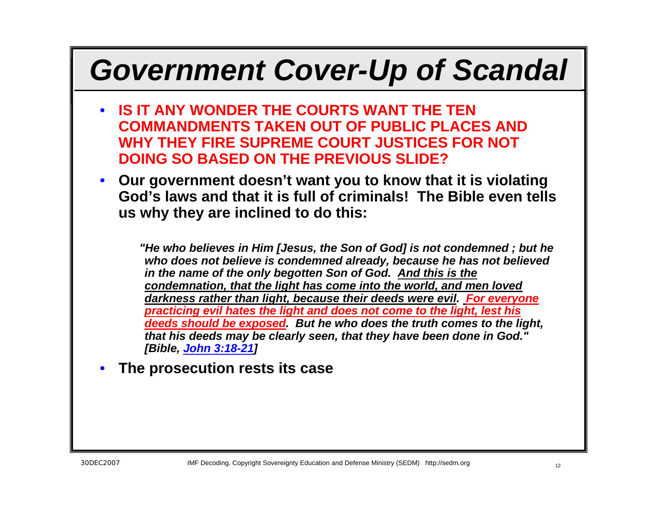# *Government Cover-Up of Scandal*

- **IS IT ANY WONDER THE COURTS WANT THE TEN COMMANDMENTS TAKEN OUT OF PUBLIC PLACES AND WHY THEY FIRE SUPREME COURT JUSTICES FOR NOT DOING SO BASED ON THE PREVIOUS SLIDE?**
- **Our government doesn't want you to know that it is violating God's laws and that it is full of criminals! The Bible even tells us why they are inclined to do this:**

*"He who believes in Him [Jesus, the Son of God] is not condemned ; but he who does not believe is condemned already, because he has not believed in the name of the only begotten Son of God. And this is the condemnation, that the light has come into the world, and men loved darkness rather than light, because their deeds were evil. For everyone practicing evil hates the light and does not come to the light, lest his deeds should be exposed. But he who does the truth comes to the light, that his deeds may be clearly seen, that they have been done in God." [Bible, [John 3:18-21\]](http://www.biblegateway.com/passage/?search=John%203:18-21&version=50)*

### • **The prosecution rests its case**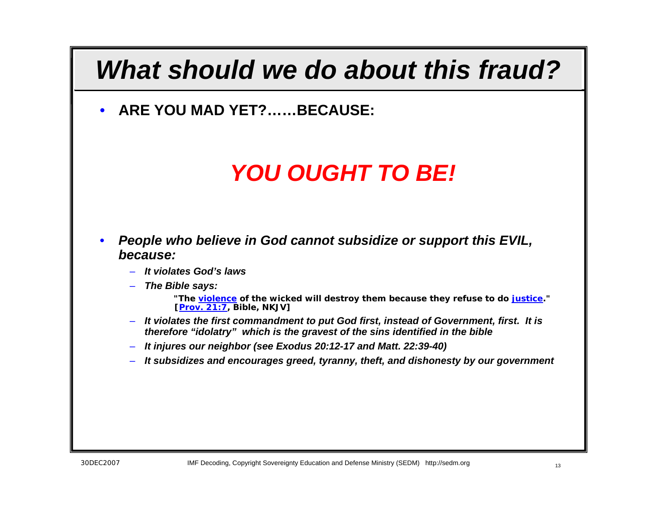### *What should we do about this fraud?*

• **ARE YOU MAD YET?……BECAUSE:**

### *YOU OUGHT TO BE!*

- *People who believe in God cannot subsidize or support this EVIL, because:*
	- *It violates God's laws*
	- *The Bible says:*

*"The [violence](http://famguardian.org/TaxFreedom/CitesByTopic/justice.htm) of the wicked will destroy them because they refuse to do [justice](http://www.biblegateway.com/cgi-bin/bible?passage=PROV%2B21%3A7&showfn=on&showxref=on&language=english&version=NKJV&x=12&y=11)." [[Prov. 21:7](http://www.biblegateway.com/passage/?search=Prov.%2021:7&version=50), Bible, NKJV]*

- *It violates the first commandment to put God first, instead of Government, first. It is therefore "idolatry" which is the gravest of the sins identified in the bible*
- *It injures our neighbor (see Exodus 20:12-17 and Matt. 22:39-40)*
- *It subsidizes and encourages greed, tyranny, theft, and dishonesty by our government*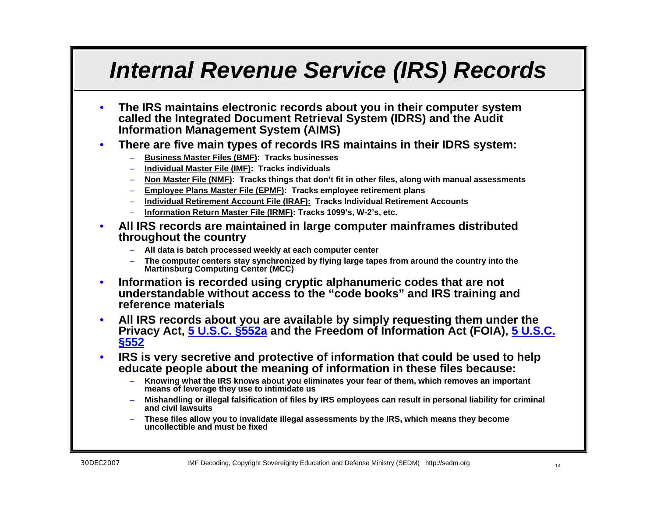### *Internal Revenue Service (IRS) Records*

- **The IRS maintains electronic records about you in their computer system called the Integrated Document Retrieval System (IDRS) and the Audit Information Management System (AIMS)**
- **There are five main types of records IRS maintains in their IDRS system:**
	- **Business Master Files (BMF): Tracks businesses**
	- **Individual Master File (IMF): Tracks individuals**
	- **Non Master File (NMF): Tracks things that don't fit in other files, along with manual assessments**
	- **Employee Plans Master File (EPMF): Tracks employee retirement plans**
	- **Individual Retirement Account File (IRAF): Tracks Individual Retirement Accounts**
	- **Information Return Master File (IRMF): Tracks 1099's, W-2's, etc.**
- **All IRS records are maintained in large computer mainframes distributed throughout the country**
	- **All data is batch processed weekly at each computer center**
	- **The computer centers stay synchronized by flying large tapes from around the country into the Martinsburg Computing Center (MCC)**
- **Information is recorded using cryptic alphanumeric codes that are not understandable without access to the "code books" and IRS training and reference materials**
- **All IRS records about you are available by simply requesting them under the Privacy Act, [5 U.S.C. §552a](http://www4.law.cornell.edu/uscode/html/uscode05/usc_sec_05_00000552---a000-.html) and the Freedom of Information Act (FOIA), [5 U.S.C.](http://www4.law.cornell.edu/uscode/html/uscode05/usc_sec_05_00000552----000-.html)  [§552](http://www4.law.cornell.edu/uscode/html/uscode05/usc_sec_05_00000552----000-.html)**
- **IRS is very secretive and protective of information that could be used to help educate people about the meaning of information in these files because:**
	- **Knowing what the IRS knows about you eliminates your fear of them, which removes an important means of leverage they use to intimidate us**
	- **Mishandling or illegal falsification of files by IRS employees can result in personal liability for criminal and civil lawsuits**
	- **These files allow you to invalidate illegal assessments by the IRS, which means they become uncollectible and must be fixed**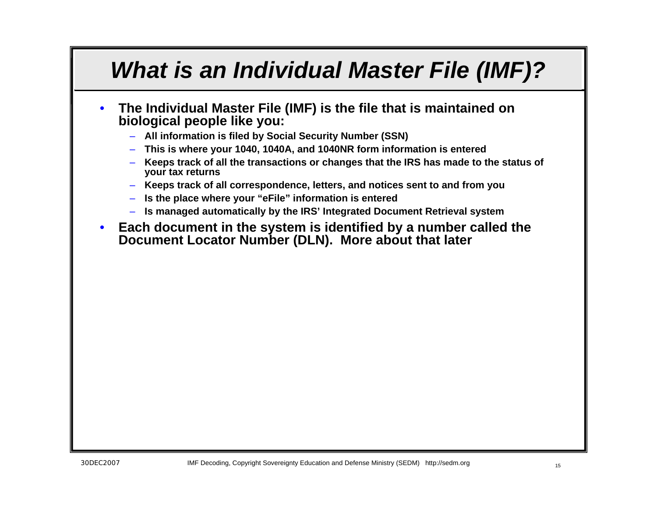### *What is an Individual Master File (IMF)?*

- **The Individual Master File (IMF) is the file that is maintained on biological people like you:**
	- **All information is filed by Social Security Number (SSN)**
	- **This is where your 1040, 1040A, and 1040NR form information is entered**
	- **Keeps track of all the transactions or changes that the IRS has made to the status of your tax returns**
	- **Keeps track of all correspondence, letters, and notices sent to and from you**
	- **Is the place where your "eFile" information is entered**
	- **Is managed automatically by the IRS' Integrated Document Retrieval system**
- **Each document in the system is identified by a number called the Document Locator Number (DLN). More about that later**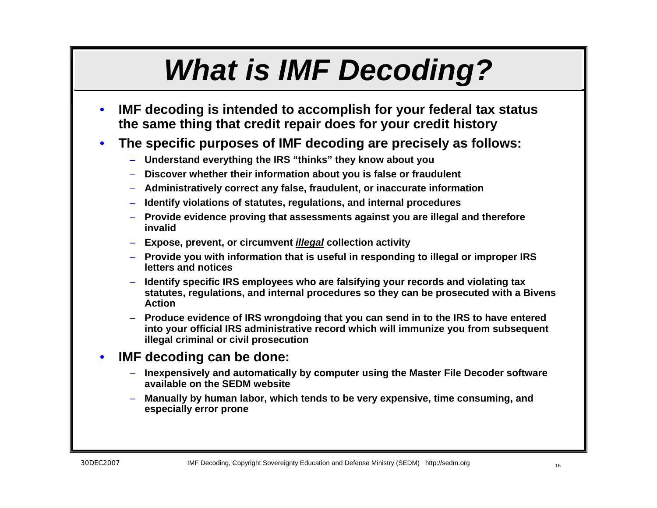# *What is IMF Decoding?*

- **IMF decoding is intended to accomplish for your federal tax status the same thing that credit repair does for your credit history**
- **The specific purposes of IMF decoding are precisely as follows:**
	- **Understand everything the IRS "thinks" they know about you**
	- **Discover whether their information about you is false or fraudulent**
	- **Administratively correct any false, fraudulent, or inaccurate information**
	- **Identify violations of statutes, regulations, and internal procedures**
	- **Provide evidence proving that assessments against you are illegal and therefore invalid**
	- **Expose, prevent, or circumvent** *illegal* **collection activity**
	- **Provide you with information that is useful in responding to illegal or improper IRS letters and notices**
	- **Identify specific IRS employees who are falsifying your records and violating tax statutes, regulations, and internal procedures so they can be prosecuted with a Bivens Action**
	- **Produce evidence of IRS wrongdoing that you can send in to the IRS to have entered into your official IRS administrative record which will immunize you from subsequent illegal criminal or civil prosecution**

#### • **IMF decoding can be done:**

- **Inexpensively and automatically by computer using the Master File Decoder software available on the SEDM website**
- **Manually by human labor, which tends to be very expensive, time consuming, and especially error prone**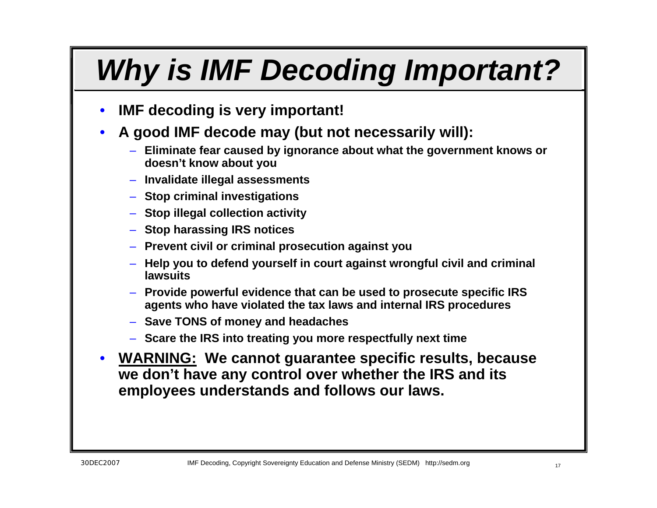# *Why is IMF Decoding Important?*

- **IMF decoding is very important!**
- **A good IMF decode may (but not necessarily will):**
	- **Eliminate fear caused by ignorance about what the government knows or doesn't know about you**
	- **Invalidate illegal assessments**
	- **Stop criminal investigations**
	- **Stop illegal collection activity**
	- **Stop harassing IRS notices**
	- **Prevent civil or criminal prosecution against you**
	- **Help you to defend yourself in court against wrongful civil and criminal lawsuits**
	- **Provide powerful evidence that can be used to prosecute specific IRS agents who have violated the tax laws and internal IRS procedures**
	- **Save TONS of money and headaches**
	- **Scare the IRS into treating you more respectfully next time**
- **WARNING: We cannot guarantee specific results, because we don't have any control over whether the IRS and its employees understands and follows our laws.**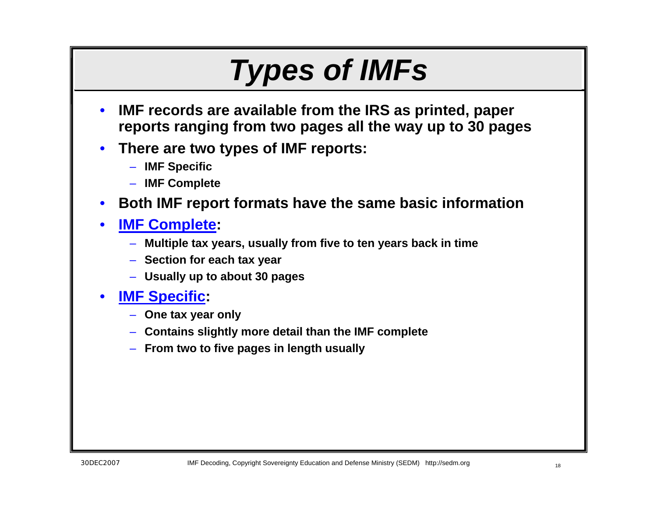## *Types of IMFs*

- **IMF records are available from the IRS as printed, paper reports ranging from two pages all the way up to 30 pages**
- **There are two types of IMF reports:**
	- **IMF Specific**
	- **IMF Complete**
- **Both IMF report formats have the same basic information**
- **IMF Complete:** 
	- **Multiple tax years, usually from five to ten years back in time**
	- **Section for each tax year**
	- **Usually up to about 30 pages**
- **IMF Specific:**
	- **One tax year only**
	- **Contains slightly more detail than the IMF complete**
	- **From two to five pages in length usually**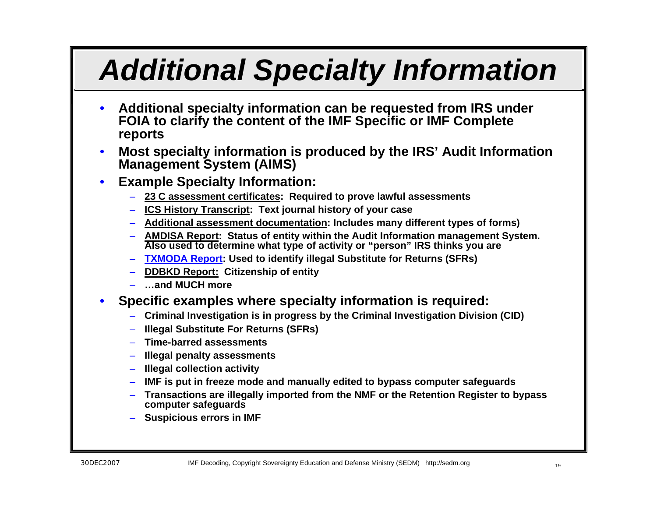# *Additional Specialty Information*

- **Additional specialty information can be requested from IRS under FOIA to clarify the content of the IMF Specific or IMF Complete reports**
- **Most specialty information is produced by the IRS' Audit Information Management System (AIMS)**
- **Example Specialty Information:**
	- **23 C assessment certificates: Required to prove lawful assessments**
	- **ICS History Transcript: Text journal history of your case**
	- **Additional assessment documentation: Includes many different types of forms)**
	- **AMDISA Report: Status of entity within the Audit Information management System. Also used to determine what type of activity or "person" IRS thinks you are**
	- **TXMODA Report: Used to identify illegal Substitute for Returns (SFRs)**
	- **DDBKD Report: Citizenship of entity**
	- **…and MUCH more**
- **Specific examples where specialty information is required:**
	- **Criminal Investigation is in progress by the Criminal Investigation Division (CID)**
	- **Illegal Substitute For Returns (SFRs)**
	- **Time-barred assessments**
	- **Illegal penalty assessments**
	- **Illegal collection activity**
	- **IMF is put in freeze mode and manually edited to bypass computer safeguards**
	- **Transactions are illegally imported from the NMF or the Retention Register to bypass computer safeguards**
	- **Suspicious errors in IMF**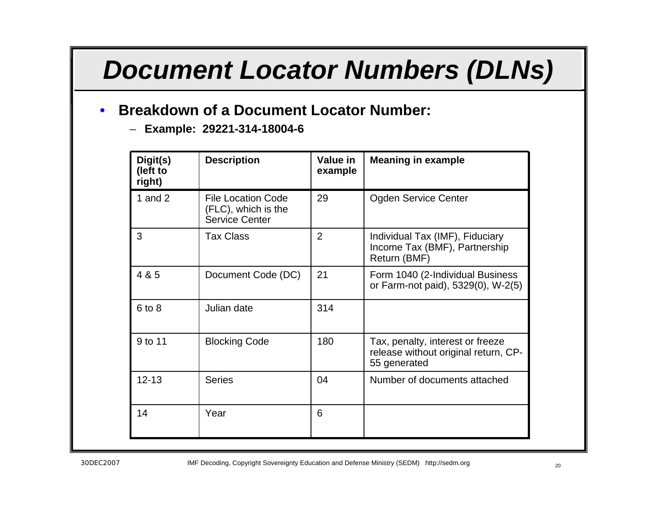### *Document Locator Numbers (DLNs)*

### • **Breakdown of a Document Locator Number:**

– **Example: 29221-314-18004-6**

| Digit(s)<br>(left to<br>right) | <b>Description</b>                                                        | Value in<br>example | <b>Meaning in example</b>                                                                |
|--------------------------------|---------------------------------------------------------------------------|---------------------|------------------------------------------------------------------------------------------|
| 1 and $2$                      | <b>File Location Code</b><br>(FLC), which is the<br><b>Service Center</b> | 29                  | <b>Ogden Service Center</b>                                                              |
| 3                              | <b>Tax Class</b>                                                          | $\overline{2}$      | Individual Tax (IMF), Fiduciary<br>Income Tax (BMF), Partnership<br>Return (BMF)         |
| 4 & 5                          | Document Code (DC)                                                        | 21                  | Form 1040 (2-Individual Business<br>or Farm-not paid), 5329(0), W-2(5)                   |
| $6$ to $8$                     | Julian date                                                               | 314                 |                                                                                          |
| 9 to 11                        | <b>Blocking Code</b>                                                      | 180                 | Tax, penalty, interest or freeze<br>release without original return, CP-<br>55 generated |
| $12 - 13$                      | <b>Series</b>                                                             | 04                  | Number of documents attached                                                             |
| 14                             | Year                                                                      | 6                   |                                                                                          |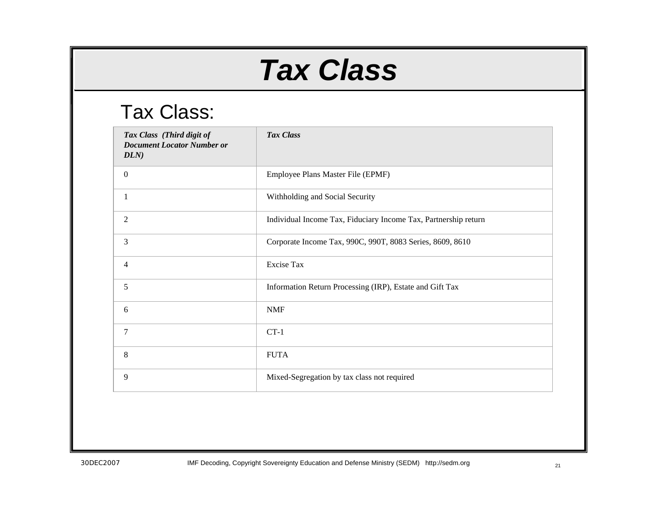## *Tax Class*

### Tax Class:

| Tax Class (Third digit of<br><b>Document Locator Number or</b><br>DLN) | Tax Class                                                       |
|------------------------------------------------------------------------|-----------------------------------------------------------------|
| $\boldsymbol{0}$                                                       | Employee Plans Master File (EPMF)                               |
| 1                                                                      | Withholding and Social Security                                 |
| $\mathfrak{2}$                                                         | Individual Income Tax, Fiduciary Income Tax, Partnership return |
| 3                                                                      | Corporate Income Tax, 990C, 990T, 8083 Series, 8609, 8610       |
| $\overline{4}$                                                         | <b>Excise Tax</b>                                               |
| 5                                                                      | Information Return Processing (IRP), Estate and Gift Tax        |
| 6                                                                      | <b>NMF</b>                                                      |
| 7                                                                      | $CT-1$                                                          |
| 8                                                                      | <b>FUTA</b>                                                     |
| 9                                                                      | Mixed-Segregation by tax class not required                     |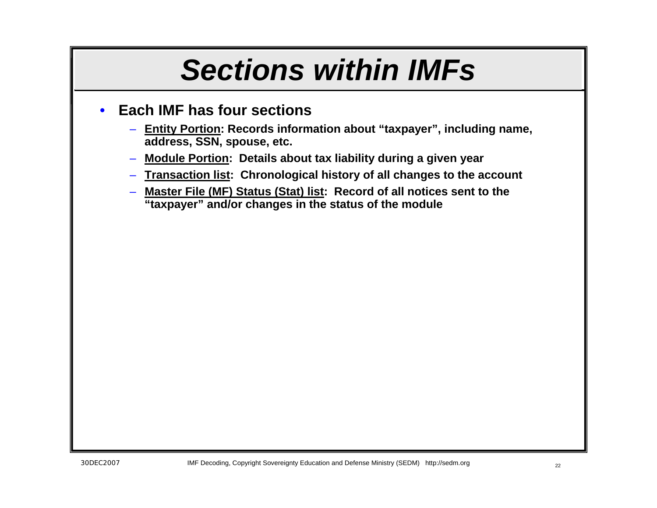## *Sections within IMFs*

### • **Each IMF has four sections**

- **Entity Portion: Records information about "taxpayer", including name, address, SSN, spouse, etc.**
- **Module Portion: Details about tax liability during a given year**
- **Transaction list: Chronological history of all changes to the account**
- **Master File (MF) Status (Stat) list: Record of all notices sent to the "taxpayer" and/or changes in the status of the module**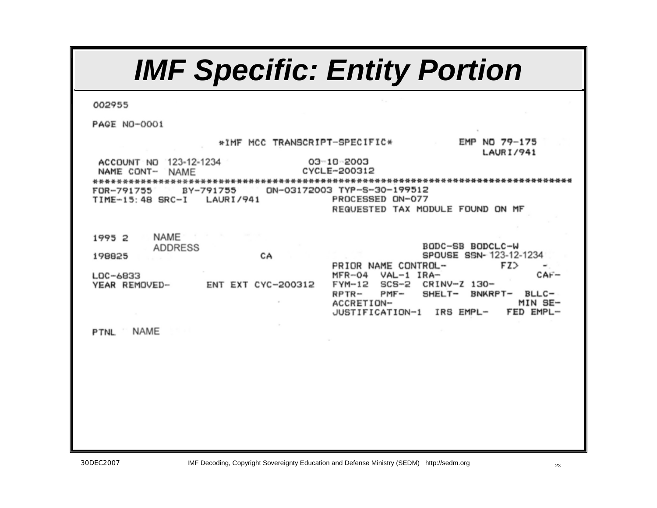#### *IMF Specific: Entity Portion*002955 **PAGE NO-0001** \*IMF MCC TRANSCRIPT-SPECIFIC\* EMP NO 79-175 **LAURI/941** ACCOUNT NO 123-12-1234 03-10-2003 NAME CONT- NAME CYCLE-200312 DN-03172003 TYP-S-30-199512 FOR-791755 BY-791755 TIME-15:48 SRC-I LAURI/941 PROCESSED ON-077 REGUESTED TAX MODULE FOUND ON MF 1995 2 **NAME ADDRESS** BODC-SB BODCLC-W SPOUSE SSN-123-12-1234 198825 CA FZ> PRIOR NAME CONTROL-VAL-1 IRA-LDC-6833  $MFR - O4$  $CAF-$ YEAR REMOVED-FYM-12 SCS-2 CRINV-Z 130-ENT EXT CYC-200312 RPTR- $PMF-$ SHELT- BNKRPT- BLLC-ACCRETION-MIN SE-JUSTIFICATION-1 IRS EMPL-FED EMPL-**NAME PTNL**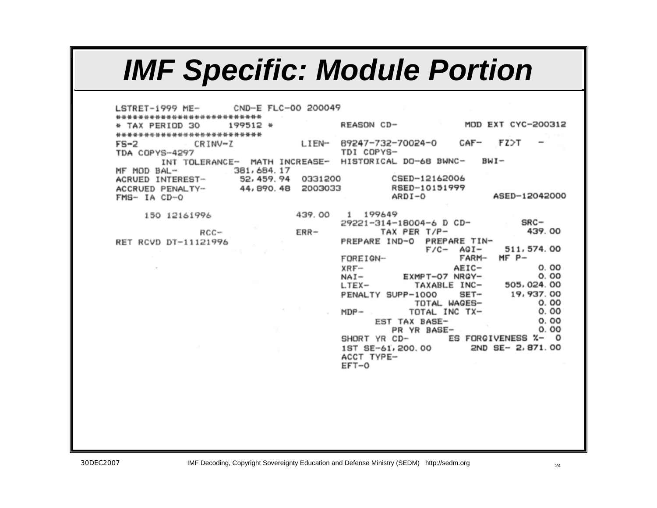## *IMF Specific: Module Portion*

CND-E FLC-00 200049  $LSTRET-1999$  ME-\*\*\*\*\*\*\*\*\*\*\*\*\*\*\*\*\*\*\*\*\*\*\*\*\*\*\* REASON CD-MOD EXT CYC-200312 \* TAX PERIOD 30 199512 \* \*\*\*\*\*\*\*\*\*\*\*\*\*\*\*\*\*\*\*\*\*\*\*\*\*\*\* LIEN- 89247-732-70024-0 CAF- FZ>T  $FS-2$ CRINV-Z TDI COPYS-**TDA COPYS-4297** INT TOLERANCE- MATH INCREASE- HISTORICAL DO-68 BWNC- $BWI -$ 381, 684.17 MF MOD BAL-52, 459. 94 0331200 CSED-12162006 ACRUED INTEREST-44,890.48 2003033 RSED-10151999 ACCRUED PENALTY- $ARDI - 0$ ASED-12042000 FMS- IA CD-O 1 199649 439,00 150 12161996  $SRC-$ 29221-314-18004-6 D CD-TAX PER T/P-439.00 ERR- $RCC-$ PREPARE IND-O PREPARE TIN-RET RCVD DT-11121996 511, 574. 00  $F/C-$  AGI- $MF$   $P-$ FARM-FOREIGN-AEIC- $0.00$  $XRF-$ EXMPT-07 NRGY-0.00  $NAI -$ TAXABLE INC-505,024.00  $LTEX-$ 19,937.00 PENALTY SUPP-1000 SET-TOTAL WAGES- $0.00$ TOTAL INC TX-0.00  $MDP 0.00$ EST TAX BASE-0.00 PR YR BASE-SHORT YR CD- ES FORGIVENESS %- 0 2ND SE- 2,871.00 1ST SE-61, 200.00 ACCT TYPE-EFT-0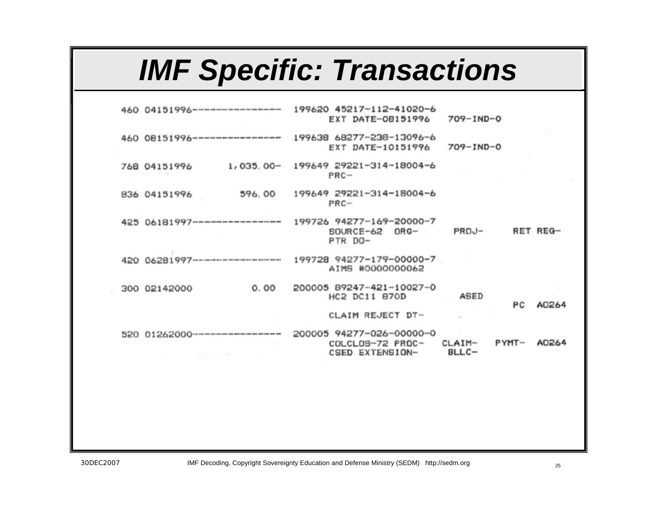## *IMF Specific: Transactions*

| 460 04151996 -----------------                                       | 199620 45217-112-41020-6<br>EXT DATE-08151996                   | $709 - 1ND - 0$                     |
|----------------------------------------------------------------------|-----------------------------------------------------------------|-------------------------------------|
| 460 08151996-------------------                                      | 199638 68277-238-13096-6<br>EXT DATE-10151996                   | $709 - 1ND - 0$                     |
| $1,035.00-$<br>768 04151996                                          | 199649 29221-314-18004-6<br>$PRC -$                             |                                     |
| 596.00<br>836 04151996                                               | 199649 29221-314-18004-6<br>$PRC-$                              |                                     |
| 425 06181997------------------                                       | 199726 94277-169-20000-7<br>SOURCE-62 ORG-<br>PTR DO-           | RET REG-<br>PROJ-                   |
| 420 06281997----------------------                                   | 199728 94277-179-00000-7<br>AIMS #0000000062                    |                                     |
| 0.00<br>300 02142000                                                 | 200005 89247-421-10027-0<br>HC2 DC11 870D                       | ASED<br>PC<br>A0264                 |
|                                                                      | CLAIM REJECT DT-                                                |                                     |
| 520 01262000 ------------------<br>the control of the control of the | 200005 94277-026-00000-0<br>COLCLOS-72 PROC-<br>CSED EXTENSION- | $PYMT-$<br>A0264<br>CLAIM-<br>BLLC- |
|                                                                      |                                                                 |                                     |
|                                                                      |                                                                 |                                     |
|                                                                      |                                                                 |                                     |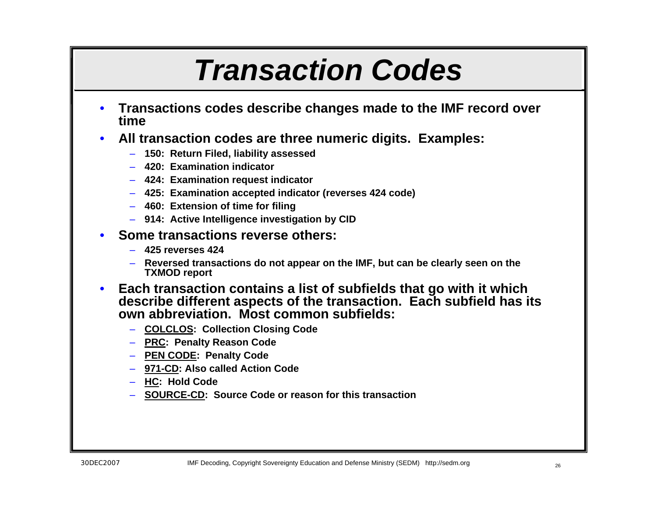## *Transaction Codes*

- **Transactions codes describe changes made to the IMF record over time**
- **All transaction codes are three numeric digits. Examples:**
	- **150: Return Filed, liability assessed**
	- **420: Examination indicator**
	- **424: Examination request indicator**
	- **425: Examination accepted indicator (reverses 424 code)**
	- **460: Extension of time for filing**
	- **914: Active Intelligence investigation by CID**
- **Some transactions reverse others:**
	- **425 reverses 424**
	- **Reversed transactions do not appear on the IMF, but can be clearly seen on the TXMOD report**
- **Each transaction contains a list of subfields that go with it which describe different aspects of the transaction. Each subfield has its own abbreviation. Most common subfields:**
	- **COLCLOS: Collection Closing Code**
	- **PRC: Penalty Reason Code**
	- **PEN CODE: Penalty Code**
	- **971-CD: Also called Action Code**
	- **HC: Hold Code**
	- **SOURCE-CD: Source Code or reason for this transaction**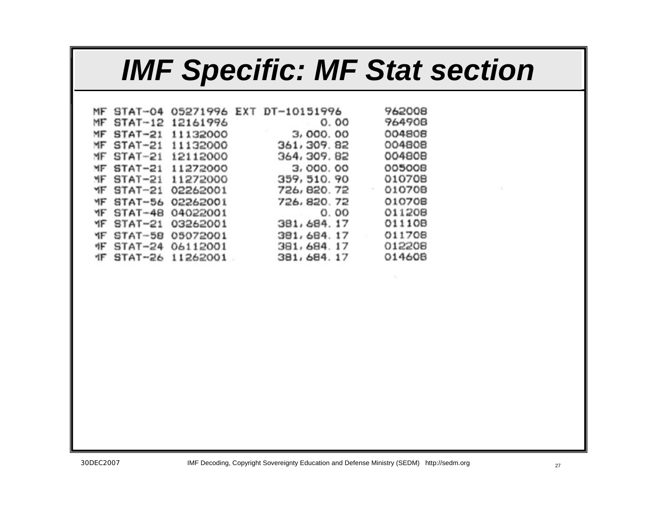## *IMF Specific: MF Stat section*

|  |                           | MF STAT-04 05271996 EXT DT-10151996 | 962008 |
|--|---------------------------|-------------------------------------|--------|
|  | MF STAT-12 12161996       | 0.00                                | 964908 |
|  | MF STAT-21 11132000       | 3,000.00                            | 004808 |
|  | MF STAT-21 11132000       | 361, 309. 82                        | 004808 |
|  | MF STAT-21 12112000       | 364, 309, 82                        | 004805 |
|  | MF STAT-21 11272000       | 3,000.00                            | 005008 |
|  | MF STAT-21 11272000       | 359, 510. 90                        | 010708 |
|  | YF STAT-21 02262001       | 726, 820, 72                        | 010708 |
|  | MF STAT-56 02262001       | 726, 820, 72                        | 010708 |
|  | YF STAT-48 04022001       | 0.00                                | 011208 |
|  | YF STAT-21 03262001       | 381, 684. 17                        | 011108 |
|  | YF STAT-58 05072001       | 381, 684. 17                        | 011708 |
|  | <b>昨 STAT-24 06112001</b> | 381, 684, 17                        | 012206 |
|  | 1F STAT-26 11262001       | 381, 684. 17                        | 014608 |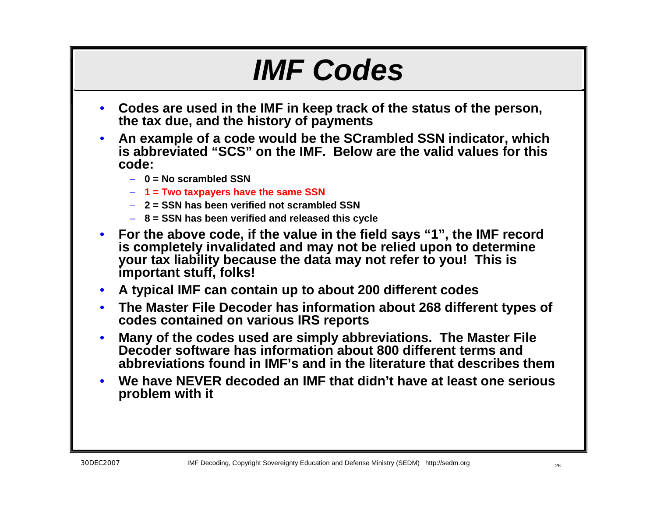## *IMF Codes*

- **Codes are used in the IMF in keep track of the status of the person, the tax due, and the history of payments**
- **An example of a code would be the SCrambled SSN indicator, which is abbreviated "SCS" on the IMF. Below are the valid values for this code:**
	- **0 = No scrambled SSN**
	- **1 = Two taxpayers have the same SSN**
	- **2 = SSN has been verified not scrambled SSN**
	- **8 = SSN has been verified and released this cycle**
- **For the above code, if the value in the field says "1", the IMF record is completely invalidated and may not be relied upon to determine your tax liability because the data may not refer to you! This is important stuff, folks!**
- **A typical IMF can contain up to about 200 different codes**
- **The Master File Decoder has information about 268 different types of codes contained on various IRS reports**
- **Many of the codes used are simply abbreviations. The Master File Decoder software has information about 800 different terms and abbreviations found in IMF's and in the literature that describes them**
- **We have NEVER decoded an IMF that didn't have at least one serious problem with it**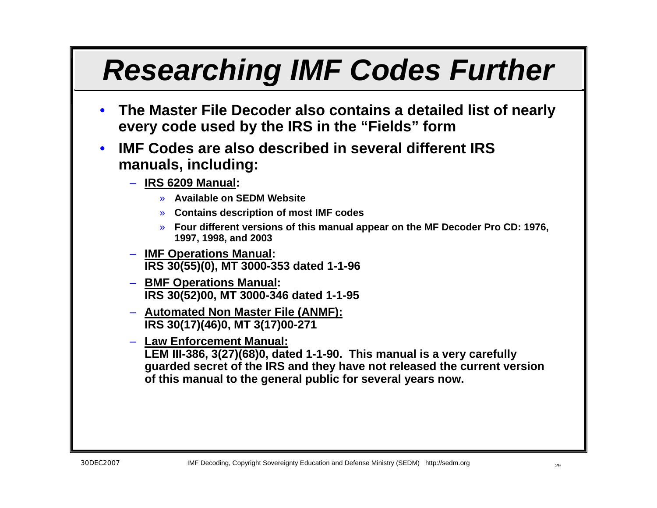# *Researching IMF Codes Further*

- **The Master File Decoder also contains a detailed list of nearly every code used by the IRS in the "Fields" form**
- **IMF Codes are also described in several different IRS manuals, including:**
	- **IRS 6209 Manual:** 
		- » **Available on SEDM Website**
		- » **Contains description of most IMF codes**
		- » **Four different versions of this manual appear on the MF Decoder Pro CD: 1976, 1997, 1998, and 2003**
	- **IMF Operations Manual: IRS 30(55)(0), MT 3000-353 dated 1-1-96**
	- **BMF Operations Manual: IRS 30(52)00, MT 3000-346 dated 1-1-95**
	- **Automated Non Master File (ANMF): IRS 30(17)(46)0, MT 3(17)00-271**
	- **Law Enforcement Manual: LEM III-386, 3(27)(68)0, dated 1-1-90. This manual is a very carefully guarded secret of the IRS and they have not released the current version of this manual to the general public for several years now.**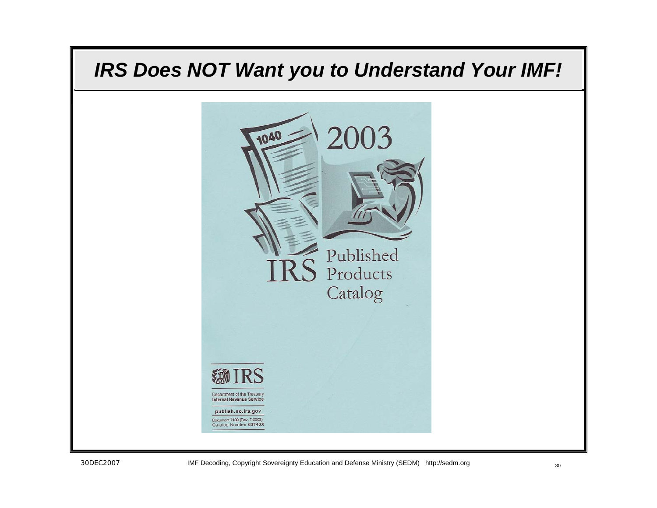### *IRS Does NOT Want you to Understand Your IMF!*

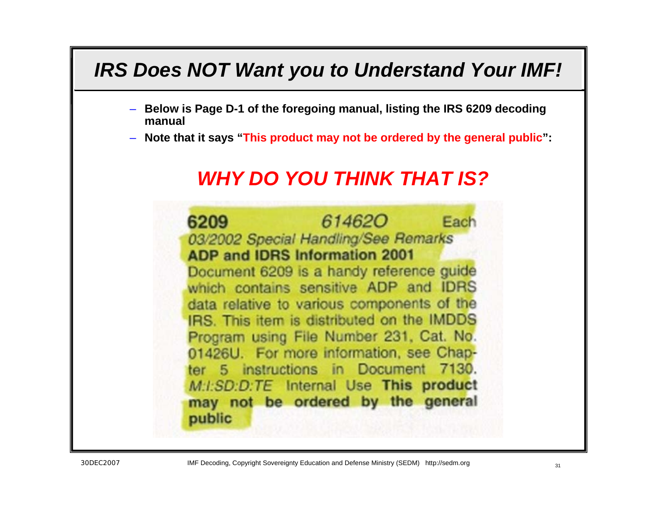### *IRS Does NOT Want you to Understand Your IMF!*

- **Below is Page D-1 of the foregoing manual, listing the IRS 6209 decoding manual**
- **Note that it says "This product may not be ordered by the general public":**

### *WHY DO YOU THINK THAT IS?*

6209 614620 Each 03/2002 Special Handling/See Remarks **ADP and IDRS Information 2001** Document 6209 is a handy reference guide which contains sensitive ADP and IDRS data relative to various components of the IRS. This item is distributed on the IMDDS Program using File Number 231, Cat. No. 01426U. For more information, see Chapter 5 instructions in Document 7130. M.I.SD.D.TE Internal Use This product may not be ordered by the general public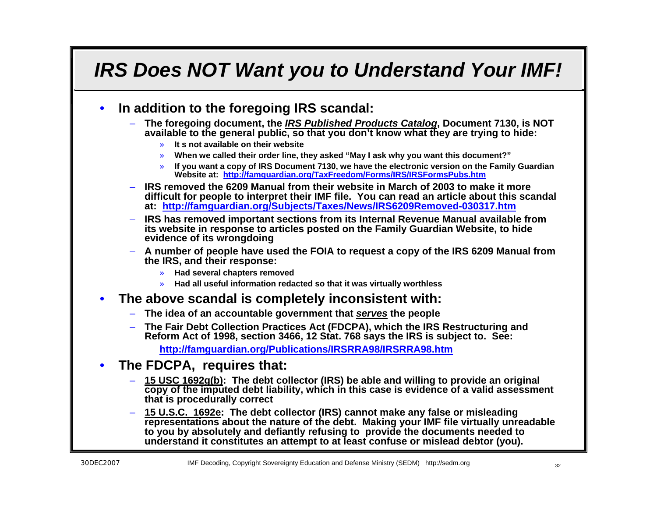### *IRS Does NOT Want you to Understand Your IMF!*

#### • **In addition to the foregoing IRS scandal:**

- **The foregoing document, the** *IRS Published Products Catalog***, Document 7130, is NOT available to the general public, so that you don't know what they are trying to hide:**
	- » **It s not available on their website**
	- » **When we called their order line, they asked "May I ask why you want this document?"**
	- » **If you want a copy of IRS Document 7130, we have the electronic version on the Family Guardian Website at: <http://famguardian.org/TaxFreedom/Forms/IRS/IRSFormsPubs.htm>**
- **IRS removed the 6209 Manual from their website in March of 2003 to make it more difficult for people to interpret their IMF file. You can read an article about this scandal at: <http://famguardian.org/Subjects/Taxes/News/IRS6209Removed-030317.htm>**
- **IRS has removed important sections from its Internal Revenue Manual available from its website in response to articles posted on the Family Guardian Website, to hide evidence of its wrongdoing**
- **A number of people have used the FOIA to request a copy of the IRS 6209 Manual from the IRS, and their response:**
	- » **Had several chapters removed**
	- » **Had all useful information redacted so that it was virtually worthless**

#### • **The above scandal is completely inconsistent with:**

- **The idea of an accountable government that** *serves* **the people**
- **The Fair Debt Collection Practices Act (FDCPA), which the IRS Restructuring and Reform Act of 1998, section 3466, 12 Stat. 768 says the IRS is subject to. See:**

**<http://famguardian.org/Publications/IRSRRA98/IRSRRA98.htm>**

- **The FDCPA, requires that:**
	- **15 USC 1692g(b): The debt collector (IRS) be able and willing to provide an original copy of the imputed debt liability, which in this case is evidence of a valid assessment that is procedurally correct**
	- **15 U.S.C. 1692e: The debt collector (IRS) cannot make any false or misleading representations about the nature of the debt. Making your IMF file virtually unreadable to you by absolutely and defiantly refusing to provide the documents needed to understand it constitutes an attempt to at least confuse or mislead debtor (you).**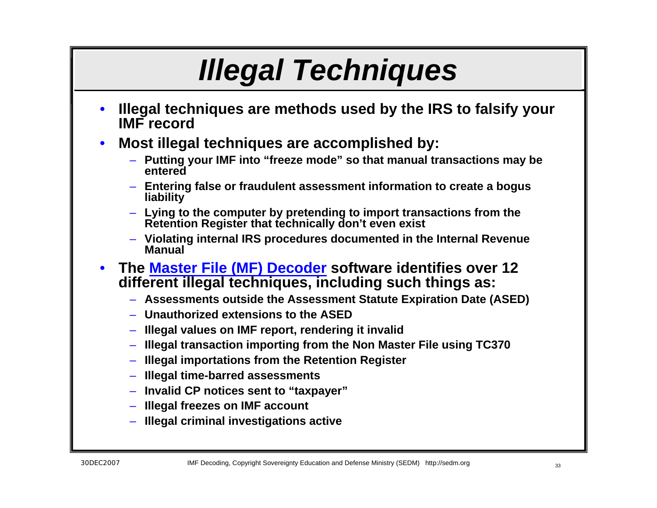# *Illegal Techniques*

- **Illegal techniques are methods used by the IRS to falsify your IMF record**
- **Most illegal techniques are accomplished by:**
	- **Putting your IMF into "freeze mode" so that manual transactions may be entered**
	- **Entering false or fraudulent assessment information to create a bogus liability**
	- **Lying to the computer by pretending to import transactions from the Retention Register that technically don't even exist**
	- **Violating internal IRS procedures documented in the Internal Revenue Manual**
- **The [Master File \(MF\) Decoder](http://sedm.org/ItemInfo/Programs/MFDecoder/MFDecoder.htm) software identifies over 12 different illegal techniques, including such things as:**
	- **Assessments outside the Assessment Statute Expiration Date (ASED)**
	- **Unauthorized extensions to the ASED**
	- **Illegal values on IMF report, rendering it invalid**
	- **Illegal transaction importing from the Non Master File using TC370**
	- **Illegal importations from the Retention Register**
	- **Illegal time-barred assessments**
	- **Invalid CP notices sent to "taxpayer"**
	- **Illegal freezes on IMF account**
	- **Illegal criminal investigations active**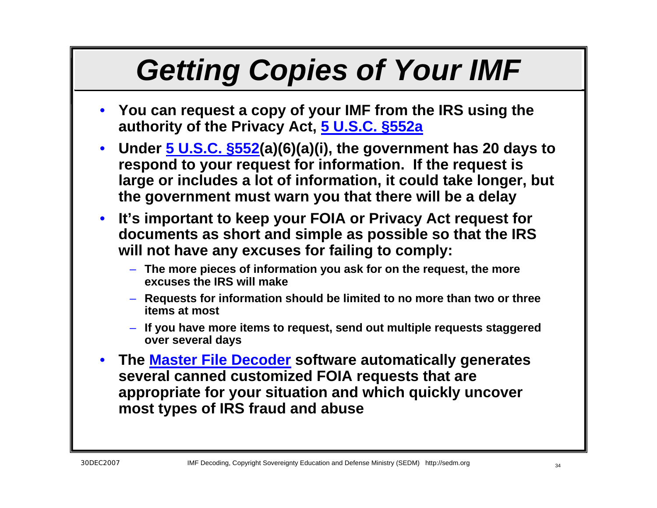# *Getting Copies of Your IMF*

- **You can request a copy of your IMF from the IRS using the authority of the Privacy Act, [5 U.S.C. §552a](http://famguardian.org/PublishedAuthors/Govt/IRS/IRSDisclLitRefBook.pdf)**
- **Under [5 U.S.C. §552](http://www4.law.cornell.edu/uscode/5/552a.html)(a)(6)(a)(i), the government has 20 days to respond to your request for information. If the request is large or includes a lot of information, it could take longer, but the government must warn you that there will be a delay**
- **It's important to keep your FOIA or Privacy Act request for documents as short and simple as possible so that the IRS will not have any excuses for failing to comply:**
	- **The more pieces of information you ask for on the request, the more excuses the IRS will make**
	- **Requests for information should be limited to no more than two or three items at most**
	- **If you have more items to request, send out multiple requests staggered over several days**
- **The [Master File Decoder](http://sedm.org/ItemInfo/Programs/MFDecoder/MFDecoder.htm) software automatically generates several canned customized FOIA requests that are appropriate for your situation and which quickly uncover most types of IRS fraud and abuse**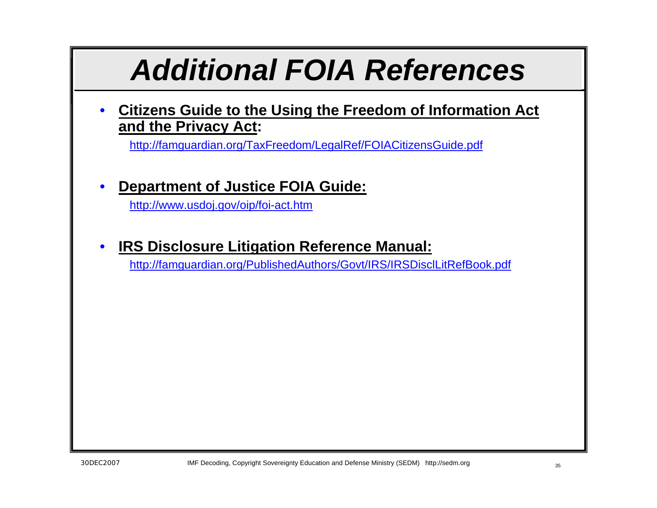## *Additional FOIA References*

• **Citizens Guide to the Using the Freedom of Information Act and the Privacy Act:**

<http://famguardian.org/TaxFreedom/LegalRef/FOIACitizensGuide.pdf>

### • **Department of Justice FOIA Guide:**

<http://www.usdoj.gov/oip/foi-act.htm>

### • **IRS Disclosure Litigation Reference Manual:**

<http://famguardian.org/PublishedAuthors/Govt/IRS/IRSDisclLitRefBook.pdf>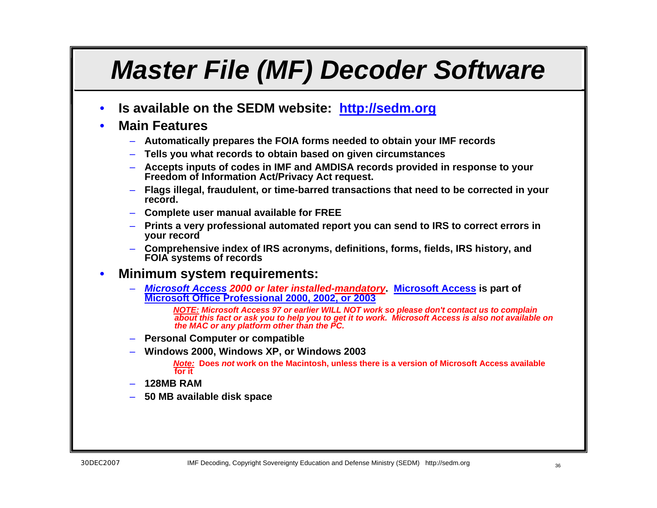### *Master File (MF) Decoder Software*

• **Is available on the SEDM website: [http://sedm.org](http://famguardian.org/TaxFreedom/Forms/IRS/IRSFormsPubs.htm)**

#### • **Main Features**

- **Automatically prepares the FOIA forms needed to obtain your IMF records**
- **Tells you what records to obtain based on given circumstances**
- **Accepts inputs of codes in IMF and AMDISA records provided in response to your Freedom of Information Act/Privacy Act request.**
- **Flags illegal, fraudulent, or time-barred transactions that need to be corrected in your record.**
- **Complete user manual available for FREE**
- **Prints a very professional automated report you can send to IRS to correct errors in your record**
- **Comprehensive index of IRS acronyms, definitions, forms, fields, IRS history, and FOIA systems of records**

#### • **Minimum system requirements:**

– *[Microsoft Access](http://www.microsoft.com/products/info/product.aspx?view=22&pcid=c199c1d1-26e3-4bf9-bd45-7198b44562fb&type=ovr) 2000 or later installed-mandatory***. [Microsoft Access](http://sedm.org/) is part of Microsoft Office Professional 2000, 2002, or 2003**

*NOTE: Microsoft Access 97 or earlier WILL NOT work so please don't contact us to complain about this fact or ask you to help you to get it to work. Microsoft Access is also not available on the MAC or any platform other than the PC.*

- **Personal Computer or compatible**
- **Windows 2000, Windows XP, or Windows 2003**

*Note:* **Does** *not* **work on the Macintosh, unless there is a version of Microsoft Access available for it** 

#### – **128MB RAM**

– **50 MB available disk space**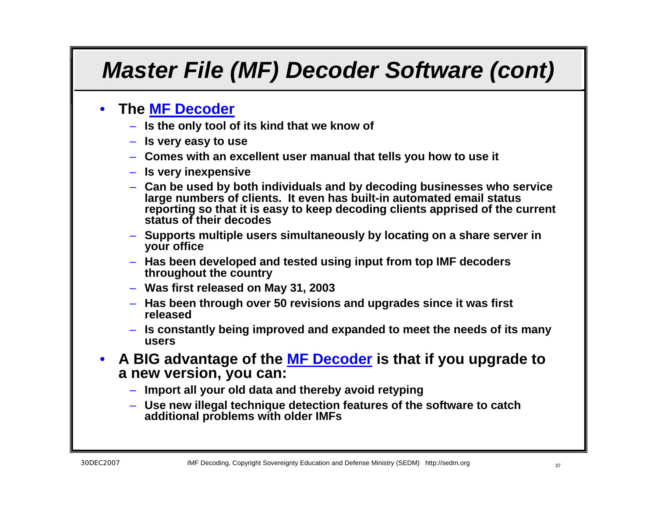### *Master File (MF) Decoder Software (cont)*

#### • **The [MF Decoder](http://sedm.org/ItemInfo/Programs/MFDecoder/MFDecoder.htm)**

- **Is the only tool of its kind that we know of**
- **Is very easy to use**
- **Comes with an excellent user manual that tells you how to use it**
- **Is very inexpensive**
- **Can be used by both individuals and by decoding businesses who service large numbers of clients. It even has built-in automated email status reporting so that it is easy to keep decoding clients apprised of the current status of their decodes**
- **Supports multiple users simultaneously by locating on a share server in your office**
- **Has been developed and tested using input from top IMF decoders throughout the country**
- **Was first released on May 31, 2003**
- **Has been through over 50 revisions and upgrades since it was first released**
- **Is constantly being improved and expanded to meet the needs of its many users**
- **A BIG advantage of the [MF Decoder](http://sedm.org/ItemInfo/Programs/MFDecoder/MFDecoder.htm) is that if you upgrade to a new version, you can:**
	- **Import all your old data and thereby avoid retyping**
	- **Use new illegal technique detection features of the software to catch additional problems with older IMFs**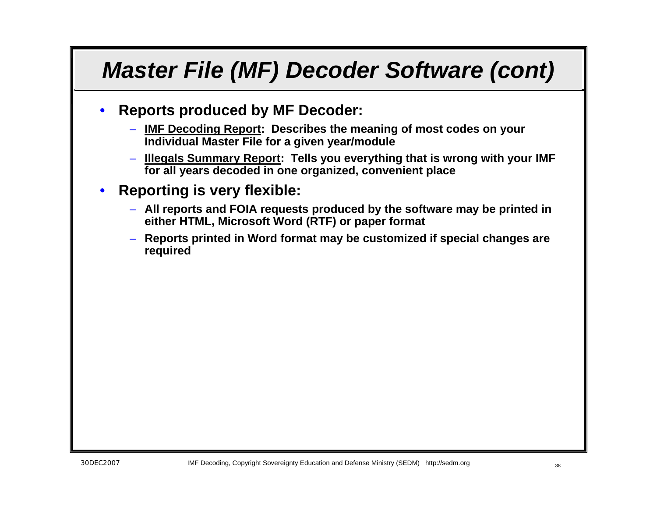### *Master File (MF) Decoder Software (cont)*

- **Reports produced by MF Decoder:**
	- **IMF Decoding Report: Describes the meaning of most codes on your Individual Master File for a given year/module**
	- **Illegals Summary Report: Tells you everything that is wrong with your IMF for all years decoded in one organized, convenient place**
- **Reporting is very flexible:**
	- **All reports and FOIA requests produced by the software may be printed in either HTML, Microsoft Word (RTF) or paper format**
	- **Reports printed in Word format may be customized if special changes are required**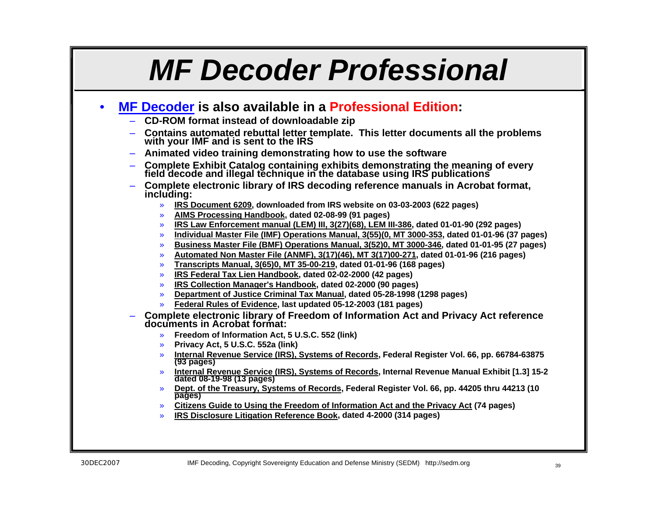## *MF Decoder Professional*

#### • **[MF Decoder](http://sedm.org/ItemInfo/Programs/MFDecoder/MFDecoder.htm) is also available in a Professional Edition:**

- **CD-ROM format instead of downloadable zip**
- **Contains automated rebuttal letter template. This letter documents all the problems with your IMF and is sent to the IRS**
- **Animated video training demonstrating how to use the software**
- **Complete Exhibit Catalog containing exhibits demonstrating the meaning of every field decode and illegal technique in the database using IRS publications**
- **Complete electronic library of IRS decoding reference manuals in Acrobat format, including:**
	- » **IRS Document 6209, downloaded from IRS website on 03-03-2003 (622 pages)**
	- » **AIMS Processing Handbook, dated 02-08-99 (91 pages)**
	- » **IRS Law Enforcement manual (LEM) III, 3(27)(68), LEM III-386, dated 01-01-90 (292 pages)**
	- » **Individual Master File (IMF) Operations Manual, 3(55)(0, MT 3000-353, dated 01-01-96 (37 pages)**
	- » **Business Master File (BMF) Operations Manual, 3(52)0, MT 3000-346, dated 01-01-95 (27 pages)**
	- » **Automated Non Master File (ANMF), 3(17)(46), MT 3(17)00-271, dated 01-01-96 (216 pages)**
	- » **Transcripts Manual, 3(65)0, MT 35-00-219, dated 01-01-96 (168 pages)**
	- » **IRS Federal Tax Lien Handbook, dated 02-02-2000 (42 pages)**
	- » **IRS Collection Manager's Handbook, dated 02-2000 (90 pages)**
	- » **Department of Justice Criminal Tax Manual, dated 05-28-1998 (1298 pages)**
	- » **Federal Rules of Evidence, last updated 05-12-2003 (181 pages)**
- **Complete electronic library of Freedom of Information Act and Privacy Act reference documents in Acrobat format:**
	- » **Freedom of Information Act, 5 U.S.C. 552 (link)**
	- » **Privacy Act, 5 U.S.C. 552a (link)**
	- » **Internal Revenue Service (IRS), Systems of Records, Federal Register Vol. 66, pp. 66784-63875 (93 pages)**
	- » **Internal Revenue Service (IRS), Systems of Records, Internal Revenue Manual Exhibit [1.3] 15-2 dated 08-19-98 (13 pages)**
	- » **Dept. of the Treasury, Systems of Records, Federal Register Vol. 66, pp. 44205 thru 44213 (10 pages)**
	- » **Citizens Guide to Using the Freedom of Information Act and the Privacy Act (74 pages)**
	- » **IRS Disclosure Litigation Reference Book, dated 4-2000 (314 pages)**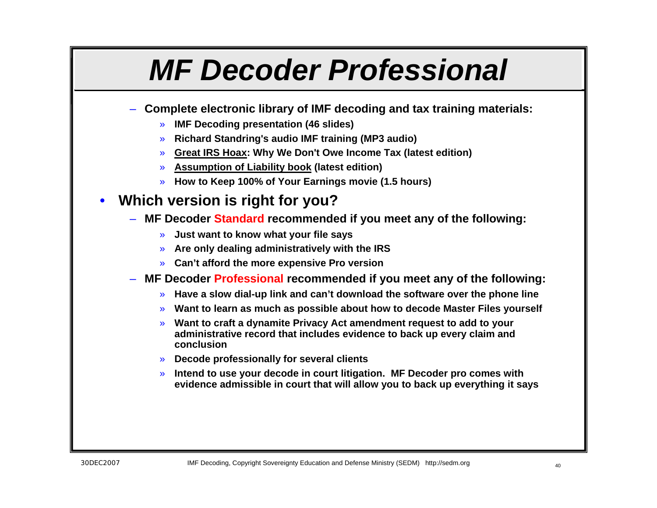## *MF Decoder Professional*

- **Complete electronic library of IMF decoding and tax training materials:**
	- » **IMF Decoding presentation (46 slides)**
	- » **Richard Standring's audio IMF training (MP3 audio)**
	- » **Great IRS Hoax: Why We Don't Owe Income Tax (latest edition)**
	- » **Assumption of Liability book (latest edition)**
	- » **How to Keep 100% of Your Earnings movie (1.5 hours)**

### • **Which version is right for you?**

- **MF Decoder Standard recommended if you meet any of the following:**
	- » **Just want to know what your file says**
	- » **Are only dealing administratively with the IRS**
	- » **Can't afford the more expensive Pro version**
- **MF Decoder Professional recommended if you meet any of the following:**
	- » **Have a slow dial-up link and can't download the software over the phone line**
	- » **Want to learn as much as possible about how to decode Master Files yourself**
	- » **Want to craft a dynamite Privacy Act amendment request to add to your administrative record that includes evidence to back up every claim and conclusion**
	- » **Decode professionally for several clients**
	- » **Intend to use your decode in court litigation. MF Decoder pro comes with evidence admissible in court that will allow you to back up everything it says**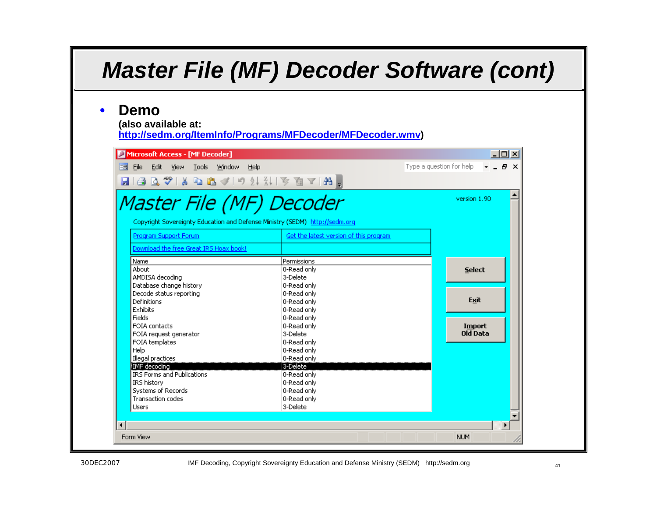### *Master File (MF) Decoder Software (cont)*

#### • **Demo**

**(also available at:** 

**<http://sedm.org/ItemInfo/Programs/MFDecoder/MFDecoder.wmv>)**

| Edit View Tools Window<br>File<br>Help                                                                                                                                                              |                                        | Type a question for help | - 8 x         |
|-----------------------------------------------------------------------------------------------------------------------------------------------------------------------------------------------------|----------------------------------------|--------------------------|---------------|
| $\blacksquare$   4 Q $\clubsuit$   $\lambda$ & B $\triangleleft$   $\cup$ $\frac{1}{2}$ , $\frac{1}{2}$ $\Downarrow$ [ $\triangleright$ $\blacksquare$ $\blacksquare$ $\blacksquare$ $\blacksquare$ |                                        |                          |               |
| Master File (MF) Decoder<br>Copyright Sovereignty Education and Defense Ministry (SEDM) http://sedm.org                                                                                             |                                        |                          | version 1.90  |
| Program Support Forum                                                                                                                                                                               | Get the latest version of this program |                          |               |
| Download the free Great IRS Hoax book!                                                                                                                                                              |                                        |                          |               |
| Name                                                                                                                                                                                                | Permissions                            |                          |               |
| About                                                                                                                                                                                               | 0-Read only                            |                          | Select        |
| AMDISA decoding                                                                                                                                                                                     | 3-Delete                               |                          |               |
| Database change history                                                                                                                                                                             | 0-Read only                            |                          |               |
| Decode status reporting                                                                                                                                                                             | 0-Read only                            |                          |               |
| Definitions                                                                                                                                                                                         | 0-Read only                            |                          | Exit          |
| Exhibits                                                                                                                                                                                            | 0-Read only                            |                          |               |
| Fields                                                                                                                                                                                              | 0-Read only                            |                          |               |
| FOIA contacts                                                                                                                                                                                       | 0-Read only                            |                          | <b>Import</b> |
| FOIA request generator                                                                                                                                                                              | 3-Delete                               |                          | $O0$ Data     |
| FOIA templates                                                                                                                                                                                      | 0-Read only                            |                          |               |
| Help                                                                                                                                                                                                | 0-Read only                            |                          |               |
| Illegal practices                                                                                                                                                                                   | 0-Read only                            |                          |               |
| IMF decoding                                                                                                                                                                                        | 3-Delete                               |                          |               |
| <b>IRS Forms and Publications</b>                                                                                                                                                                   | 0-Read only                            |                          |               |
| IRS history                                                                                                                                                                                         | 0-Read only                            |                          |               |
| Systems of Records                                                                                                                                                                                  | 0-Read only                            |                          |               |
| Transaction codes                                                                                                                                                                                   | 0-Read only                            |                          |               |
| <b>Users</b>                                                                                                                                                                                        | 3-Delete                               |                          |               |
|                                                                                                                                                                                                     |                                        |                          |               |
|                                                                                                                                                                                                     |                                        |                          |               |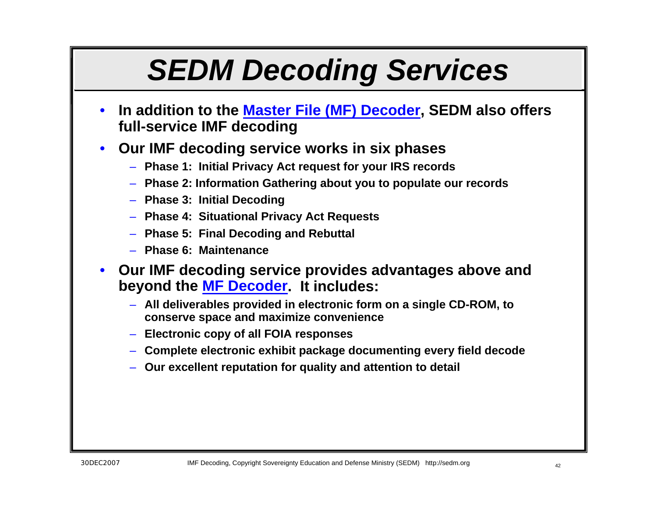# *SEDM Decoding Services*

- **In addition to the [Master File \(MF\) Decoder](http://sedm.org/ItemInfo/Programs/MFDecoder/MFDecoder.htm), SEDM also offers full-service IMF decoding**
- **Our IMF decoding service works in six phases**
	- **Phase 1: Initial Privacy Act request for your IRS records**
	- **Phase 2: Information Gathering about you to populate our records**
	- **Phase 3: Initial Decoding**
	- **Phase 4: Situational Privacy Act Requests**
	- **Phase 5: Final Decoding and Rebuttal**
	- **Phase 6: Maintenance**
- **Our IMF decoding service provides advantages above and beyond the [MF Decoder](http://sedm.org/ItemInfo/Programs/MFDecoder/MFDecoder.htm). It includes:**
	- **All deliverables provided in electronic form on a single CD-ROM, to conserve space and maximize convenience**
	- **Electronic copy of all FOIA responses**
	- **Complete electronic exhibit package documenting every field decode**
	- **Our excellent reputation for quality and attention to detail**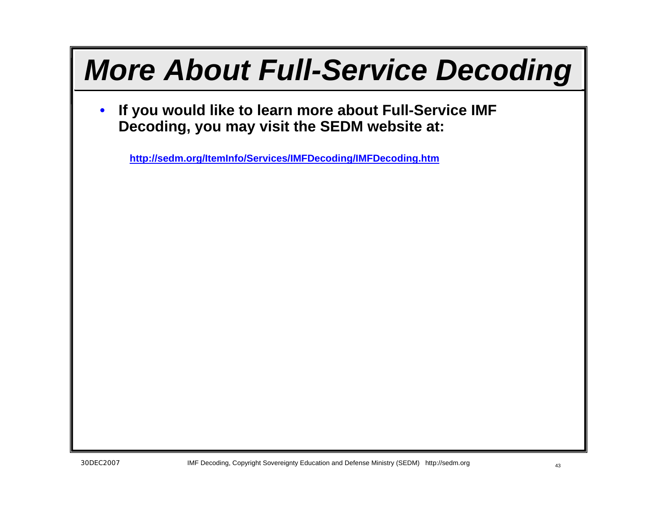# *More About Full-Service Decoding*

• **If you would like to learn more about Full-Service IMF Decoding, you may visit the SEDM website at:**

**<http://sedm.org/ItemInfo/Services/IMFDecoding/IMFDecoding.htm>**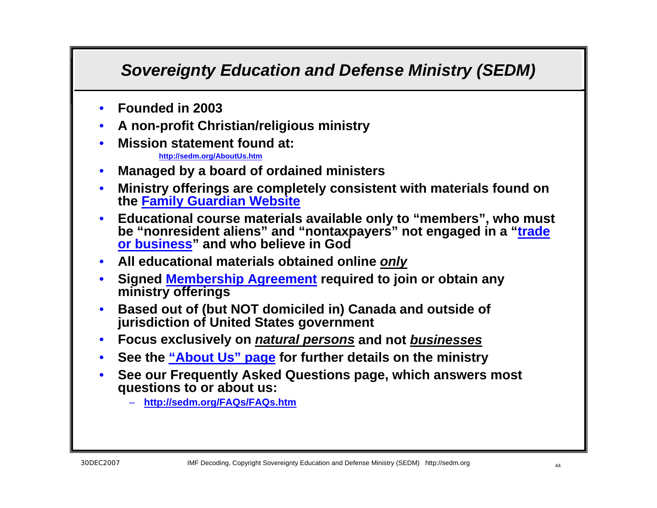### *Sovereignty Education and Defense Ministry (SEDM)*

- **Founded in 2003**
- **A non-profit Christian/religious ministry**
- **Mission statement found at:**

**<http://sedm.org/AboutUs.htm>**

- **Managed by a board of ordained ministers**
- **Ministry offerings are completely consistent with materials found on the [Family Guardian Website](http://famguardian.org/)**
- **Educational course materials available only to "members", who must be "nonresident aliens" and "nontaxpayers" not engaged in a "[trade](http://famguardian.org/TaxFreedom/CitesByTopic/TradeOrBusiness.htm)  [or business](http://famguardian.org/TaxFreedom/CitesByTopic/TradeOrBusiness.htm)" and who believe in God**
- **All educational materials obtained online** *only*
- **Signed [Membership Agreement](http://www.sedm.org/MemberAgreement/MemberAgreement.htm) required to join or obtain any ministry offerings**
- **Based out of (but NOT domiciled in) Canada and outside of jurisdiction of United States government**
- **Focus exclusively on** *natural persons* **and not** *businesses*
- **See the ["About Us" page f](http://www.sedm.org/cgi-bin/cp-app.cgi?usr=&rnd=&rrc=N&affl=&cip=&act=&aff=&pg=aboutus)or further details on the ministry**
- **See our Frequently Asked Questions page, which answers most questions to or about us:**
	- **<http://sedm.org/FAQs/FAQs.htm>**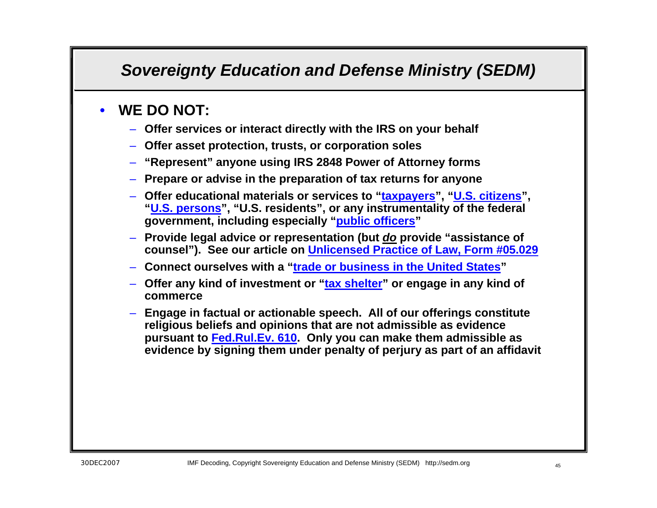### *Sovereignty Education and Defense Ministry (SEDM)*

### • **WE DO NOT:**

- **Offer services or interact directly with the IRS on your behalf**
- **Offer asset protection, trusts, or corporation soles**
- **"Represent" anyone using IRS 2848 Power of Attorney forms**
- **Prepare or advise in the preparation of tax returns for anyone**
- **Offer educational materials or services to "[taxpayers](http://famguardian.org/Subjects/Taxes/Articles/TaxpayerVNontaxpayer.htm)", "[U.S. citizens](http://famguardian.org/TaxFreedom/CitesByTopic/USCitizen.htm)", "[U.S. persons](http://famguardian.org/TaxFreedom/CitesByTopic/USPerson.htm)", "U.S. residents", or any instrumentality of the federal government, including especially "[public officers](http://famguardian.org/TaxFreedom/CitesByTopic/PublicOffice.htm)"**
- **Provide legal advice or representation (but** *do* **provide "assistance of counsel"). See our article on [Unlicensed Practice of Law, Form #05.029](http://sedm.org/Forms/MemLaw/UnlicPractLaw.pdf)**
- **Connect ourselves with a "[trade or business in the United States](http://sedm.org/Forms/MemLaw/TradeOrBusScam.pdf)"**
- **Offer any kind of investment or "[tax shelter](http://famguardian.org/TaxFreedom/CitesByTopic/TaxShelter.htm)" or engage in any kind of commerce**
- **Engage in factual or actionable speech. All of our offerings constitute religious beliefs and opinions that are not admissible as evidence pursuant to [Fed.Rul.Ev. 610](http://www.law.cornell.edu/rules/fre/rules.htm#Rule610). Only you can make them admissible as evidence by signing them under penalty of perjury as part of an affidavit**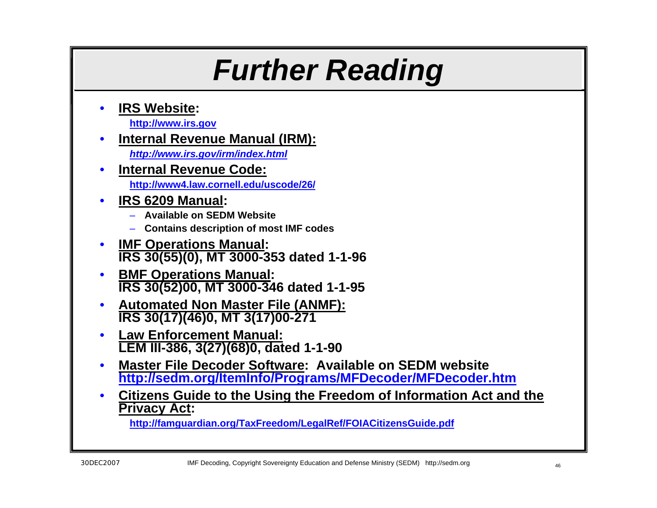## *Further Reading*

• **IRS Website:**

**[http://www.irs.gov](http://www.irs.gov/)**

### • **Internal Revenue Manual (IRM):**

*<http://www.irs.gov/irm/index.html>*

- **Internal Revenue Code: <http://www4.law.cornell.edu/uscode/26/>**
- **IRS 6209 Manual:** 
	- **Available on SEDM Website**
	- **Contains description of most IMF codes**
- **IMF Operations Manual: IRS 30(55)(0), MT 3000-353 dated 1-1-96**
- **BMF Operations Manual: IRS 30(52)00, MT 3000-346 dated 1-1-95**
- **Automated Non Master File (ANMF): IRS 30(17)(46)0, MT 3(17)00-271**
- **Law Enforcement Manual: LEM III-386, 3(27)(68)0, dated 1-1-90**
- **Master File Decoder Software: Available on SEDM website <http://sedm.org/ItemInfo/Programs/MFDecoder/MFDecoder.htm>**
- **Citizens Guide to the Using the Freedom of Information Act and the Privacy Act:**

**<http://famguardian.org/TaxFreedom/LegalRef/FOIACitizensGuide.pdf>**